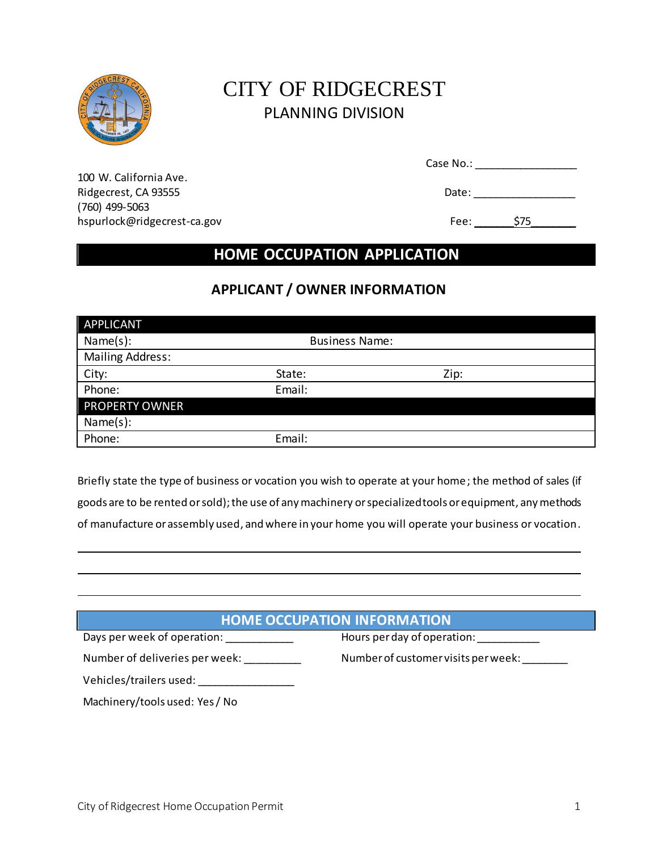

# CITY OF RIDGECREST PLANNING DIVISION

| Case No.: |  |  |
|-----------|--|--|
|           |  |  |

100 W. California Ave. Ridgecrest, CA 93555 **Date:** 2008 **Date:** 2008 **Date:** 2008 **Date:** 2008 **Date:** 2008 **Date:** 2008 **Date:** 2008 **Date:** 2008 **Date:** 2008 **Date:** 2008 **Date:** 2008 **Date:** 2008 **Date:** 2008 **Date:** 2008 **Date:** 2008 **Date:** (760) 499-5063 [hspurlock@ridgecrest-ca.gov](mailto:hspurlock@ridgecrest-ca.gov) example and the set of the Fee:  $\frac{1}{275}$ 

## **HOME OCCUPATION APPLICATION**

## **APPLICANT / OWNER INFORMATION**

| <b>APPLICANT</b>        |                       |      |
|-------------------------|-----------------------|------|
| Name(s):                | <b>Business Name:</b> |      |
| <b>Mailing Address:</b> |                       |      |
| City:                   | State:                | Zip: |
| Phone:                  | Email:                |      |
| <b>PROPERTY OWNER</b>   |                       |      |
| Name(s):                |                       |      |
| Phone:                  | Email:                |      |

Briefly state the type of business or vocation you wish to operate at your home; the method of sales (if goods are to be rented or sold); the use of any machinery or specialized tools or equipment, any methods of manufacture or assembly used, and where in your home you will operate your business or vocation.

## **HOME OCCUPATION INFORMATION**

| Days per week of operation: |  |
|-----------------------------|--|
|                             |  |

Hours per day of operation: \_\_\_\_\_\_\_\_\_\_\_\_\_

Number of deliveries per week: \_\_\_\_\_\_\_\_\_\_\_\_ Number of customer visits per week: \_\_\_\_\_\_\_

| Vehicles/trailers used: |  |
|-------------------------|--|
|                         |  |

Machinery/tools used: Yes / No